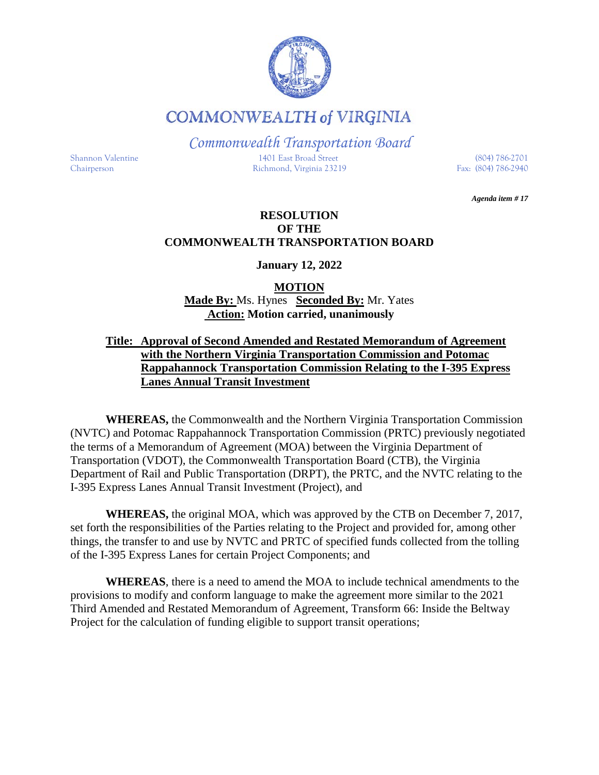

**COMMONWEALTH of VIRGINIA** 

*Commonwealth Transportation Board*

Shannon Valentine 1401 East Broad Street (804) 786-2701 Chairperson Richmond, Virginia 23219 Fax: (804) 786-2940

*Agenda item # 17*

### **RESOLUTION OF THE COMMONWEALTH TRANSPORTATION BOARD**

**January 12, 2022**

**MOTION Made By:** Ms. Hynes **Seconded By:** Mr. Yates **Action: Motion carried, unanimously**

#### **Title: Approval of Second Amended and Restated Memorandum of Agreement with the Northern Virginia Transportation Commission and Potomac Rappahannock Transportation Commission Relating to the I-395 Express Lanes Annual Transit Investment**

**WHEREAS,** the Commonwealth and the Northern Virginia Transportation Commission (NVTC) and Potomac Rappahannock Transportation Commission (PRTC) previously negotiated the terms of a Memorandum of Agreement (MOA) between the Virginia Department of Transportation (VDOT), the Commonwealth Transportation Board (CTB), the Virginia Department of Rail and Public Transportation (DRPT), the PRTC, and the NVTC relating to the I-395 Express Lanes Annual Transit Investment (Project), and

**WHEREAS,** the original MOA, which was approved by the CTB on December 7, 2017, set forth the responsibilities of the Parties relating to the Project and provided for, among other things, the transfer to and use by NVTC and PRTC of specified funds collected from the tolling of the I-395 Express Lanes for certain Project Components; and

**WHEREAS**, there is a need to amend the MOA to include technical amendments to the provisions to modify and conform language to make the agreement more similar to the 2021 Third Amended and Restated Memorandum of Agreement, Transform 66: Inside the Beltway Project for the calculation of funding eligible to support transit operations;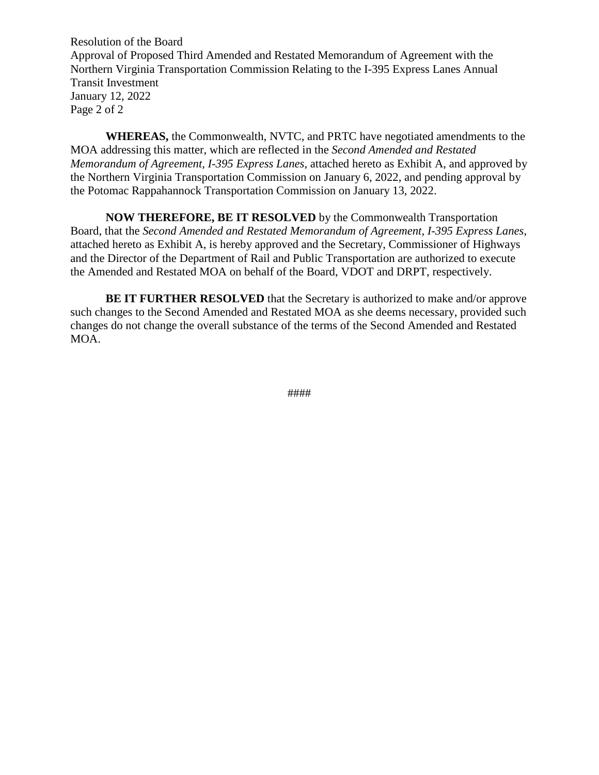Resolution of the Board Approval of Proposed Third Amended and Restated Memorandum of Agreement with the Northern Virginia Transportation Commission Relating to the I-395 Express Lanes Annual Transit Investment January 12, 2022 Page 2 of 2

**WHEREAS,** the Commonwealth, NVTC, and PRTC have negotiated amendments to the MOA addressing this matter, which are reflected in the *Second Amended and Restated Memorandum of Agreement, I-395 Express Lanes*, attached hereto as Exhibit A, and approved by the Northern Virginia Transportation Commission on January 6, 2022, and pending approval by the Potomac Rappahannock Transportation Commission on January 13, 2022.

**NOW THEREFORE, BE IT RESOLVED** by the Commonwealth Transportation Board, that the *Second Amended and Restated Memorandum of Agreement, I-395 Express Lanes*, attached hereto as Exhibit A, is hereby approved and the Secretary, Commissioner of Highways and the Director of the Department of Rail and Public Transportation are authorized to execute the Amended and Restated MOA on behalf of the Board, VDOT and DRPT, respectively.

**BE IT FURTHER RESOLVED** that the Secretary is authorized to make and/or approve such changes to the Second Amended and Restated MOA as she deems necessary, provided such changes do not change the overall substance of the terms of the Second Amended and Restated MOA.

####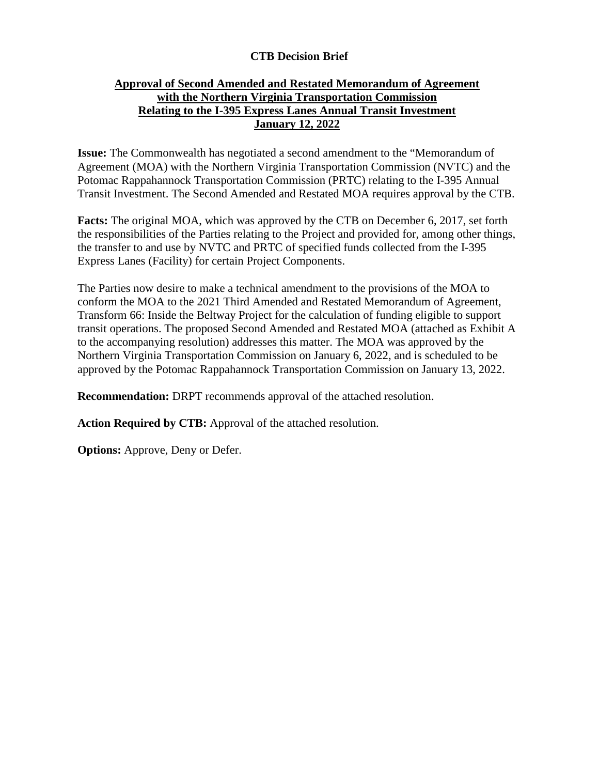### **CTB Decision Brief**

#### **Approval of Second Amended and Restated Memorandum of Agreement with the Northern Virginia Transportation Commission Relating to the I-395 Express Lanes Annual Transit Investment January 12, 2022**

**Issue:** The Commonwealth has negotiated a second amendment to the "Memorandum of Agreement (MOA) with the Northern Virginia Transportation Commission (NVTC) and the Potomac Rappahannock Transportation Commission (PRTC) relating to the I-395 Annual Transit Investment. The Second Amended and Restated MOA requires approval by the CTB.

**Facts:** The original MOA, which was approved by the CTB on December 6, 2017, set forth the responsibilities of the Parties relating to the Project and provided for, among other things, the transfer to and use by NVTC and PRTC of specified funds collected from the I-395 Express Lanes (Facility) for certain Project Components.

The Parties now desire to make a technical amendment to the provisions of the MOA to conform the MOA to the 2021 Third Amended and Restated Memorandum of Agreement, Transform 66: Inside the Beltway Project for the calculation of funding eligible to support transit operations. The proposed Second Amended and Restated MOA (attached as Exhibit A to the accompanying resolution) addresses this matter. The MOA was approved by the Northern Virginia Transportation Commission on January 6, 2022, and is scheduled to be approved by the Potomac Rappahannock Transportation Commission on January 13, 2022.

**Recommendation:** DRPT recommends approval of the attached resolution.

**Action Required by CTB:** Approval of the attached resolution.

**Options:** Approve, Deny or Defer.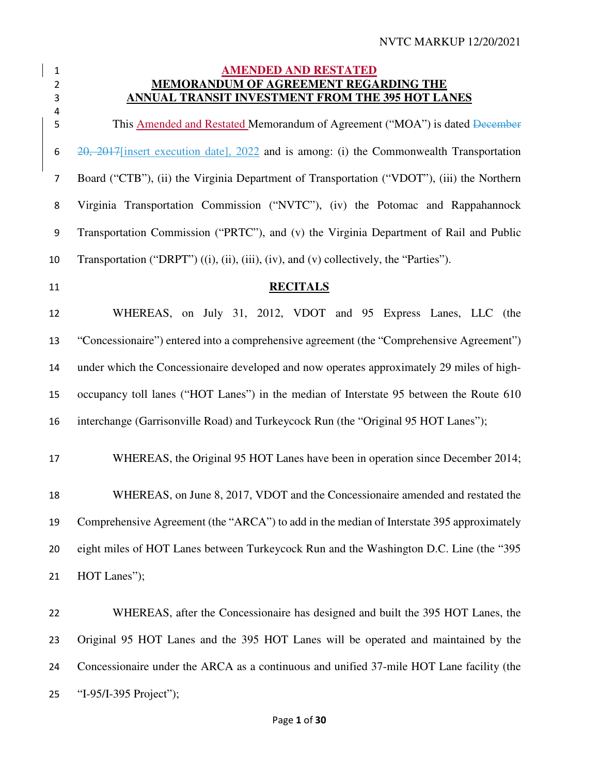#### **AMENDED AND RESTATED MEMORANDUM OF AGREEMENT REGARDING THE ANNUAL TRANSIT INVESTMENT FROM THE 395 HOT LANES**

 5 This Amended and Restated Memorandum of Agreement ("MOA") is dated <del>December</del> 20, 2017[insert execution date], 2022 and is among: (i) the Commonwealth Transportation Board ("CTB"), (ii) the Virginia Department of Transportation ("VDOT"), (iii) the Northern Virginia Transportation Commission ("NVTC"), (iv) the Potomac and Rappahannock Transportation Commission ("PRTC"), and (v) the Virginia Department of Rail and Public Transportation ("DRPT") ((i), (ii), (iii), (iv), and (v) collectively, the "Parties"). **RECITALS**  WHEREAS, on July 31, 2012, VDOT and 95 Express Lanes, LLC (the "Concessionaire") entered into a comprehensive agreement (the "Comprehensive Agreement") under which the Concessionaire developed and now operates approximately 29 miles of high-occupancy toll lanes ("HOT Lanes") in the median of Interstate 95 between the Route 610 interchange (Garrisonville Road) and Turkeycock Run (the "Original 95 HOT Lanes"); WHEREAS, the Original 95 HOT Lanes have been in operation since December 2014; WHEREAS, on June 8, 2017, VDOT and the Concessionaire amended and restated the Comprehensive Agreement (the "ARCA") to add in the median of Interstate 395 approximately eight miles of HOT Lanes between Turkeycock Run and the Washington D.C. Line (the "395 HOT Lanes");

WHEREAS, after the Concessionaire has designed and built the 395 HOT Lanes, the Original 95 HOT Lanes and the 395 HOT Lanes will be operated and maintained by the Concessionaire under the ARCA as a continuous and unified 37-mile HOT Lane facility (the "I-95/I-395 Project");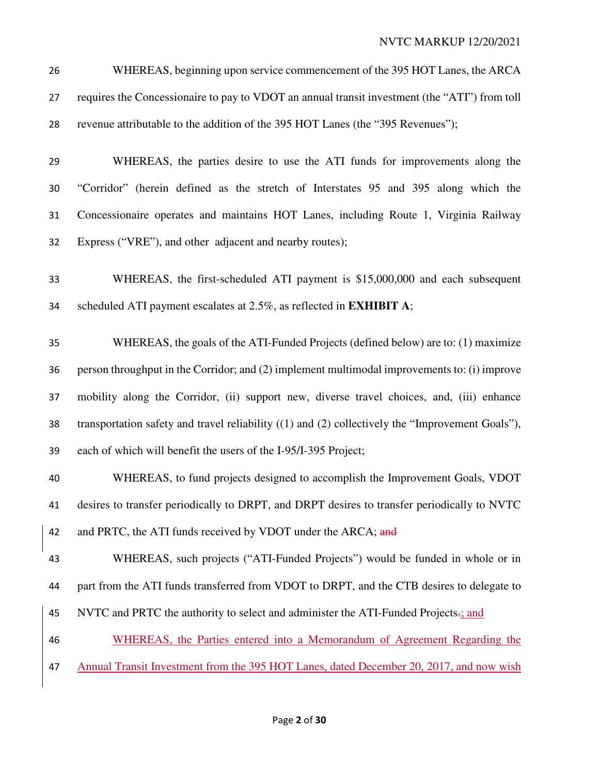WHEREAS, beginning upon service commencement of the 395 HOT Lanes, the ARCA requires the Concessionaire to pay to VDOT an annual transit investment (the "ATI") from toll revenue attributable to the addition of the 395 HOT Lanes (the "395 Revenues");

- WHEREAS, the parties desire to use the ATI funds for improvements along the "Corridor" (herein defined as the stretch of Interstates 95 and 395 along which the Concessionaire operates and maintains HOT Lanes, including Route 1, Virginia Railway Express ("VRE"), and other adjacent and nearby routes);
- WHEREAS, the first-scheduled ATI payment is \$15,000,000 and each subsequent scheduled ATI payment escalates at 2.5%, as reflected in **EXHIBIT A**;
- WHEREAS, the goals of the ATI-Funded Projects (defined below) are to: (1) maximize person throughput in the Corridor; and (2) implement multimodal improvements to: (i) improve mobility along the Corridor, (ii) support new, diverse travel choices, and, (iii) enhance transportation safety and travel reliability ((1) and (2) collectively the "Improvement Goals"), each of which will benefit the users of the I-95/I-395 Project;
- WHEREAS, to fund projects designed to accomplish the Improvement Goals, VDOT desires to transfer periodically to DRPT, and DRPT desires to transfer periodically to NVTC 42 and PRTC, the ATI funds received by VDOT under the ARCA; and
- WHEREAS, such projects ("ATI-Funded Projects") would be funded in whole or in part from the ATI funds transferred from VDOT to DRPT, and the CTB desires to delegate to
- NVTC and PRTC the authority to select and administer the ATI-Funded Projects.; and
- WHEREAS, the Parties entered into a Memorandum of Agreement Regarding the 47 Annual Transit Investment from the 395 HOT Lanes, dated December 20, 2017, and now wish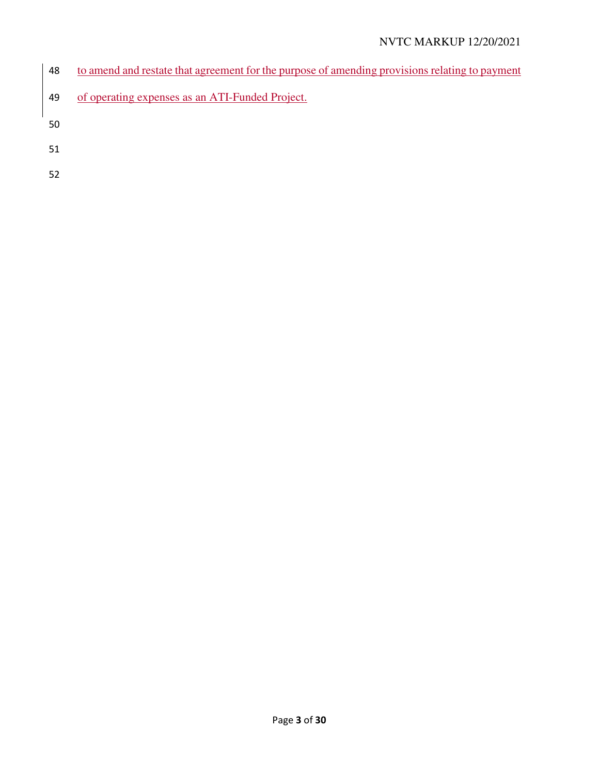# NVTC MARKUP 12/20/2021

- to amend and restate that agreement for the purpose of amending provisions relating to payment
- of operating expenses as an ATI-Funded Project.
- 
- 
-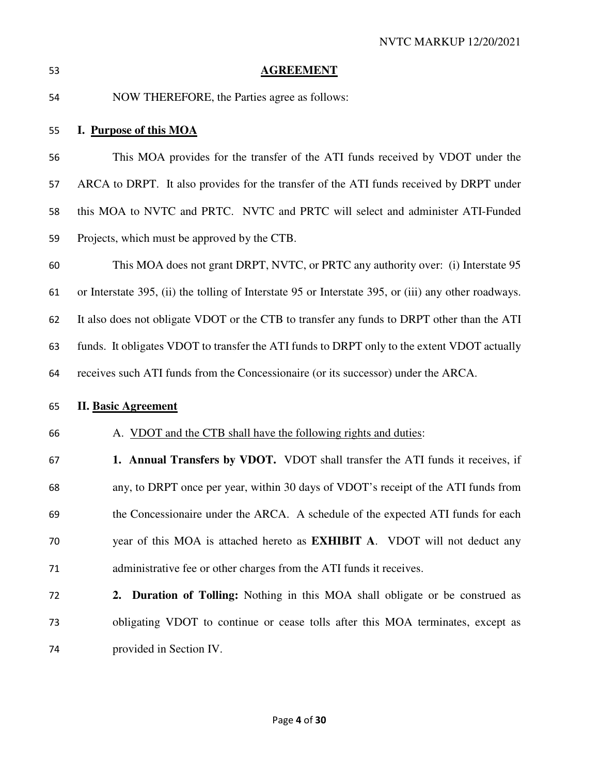**AGREEMENT** NOW THEREFORE, the Parties agree as follows: **I. Purpose of this MOA** This MOA provides for the transfer of the ATI funds received by VDOT under the ARCA to DRPT. It also provides for the transfer of the ATI funds received by DRPT under this MOA to NVTC and PRTC. NVTC and PRTC will select and administer ATI-Funded Projects, which must be approved by the CTB. This MOA does not grant DRPT, NVTC, or PRTC any authority over: (i) Interstate 95 or Interstate 395, (ii) the tolling of Interstate 95 or Interstate 395, or (iii) any other roadways. It also does not obligate VDOT or the CTB to transfer any funds to DRPT other than the ATI funds. It obligates VDOT to transfer the ATI funds to DRPT only to the extent VDOT actually receives such ATI funds from the Concessionaire (or its successor) under the ARCA. **II. Basic Agreement**  A. VDOT and the CTB shall have the following rights and duties: **1. Annual Transfers by VDOT.** VDOT shall transfer the ATI funds it receives, if any, to DRPT once per year, within 30 days of VDOT's receipt of the ATI funds from the Concessionaire under the ARCA. A schedule of the expected ATI funds for each year of this MOA is attached hereto as **EXHIBIT A**. VDOT will not deduct any administrative fee or other charges from the ATI funds it receives. **2. Duration of Tolling:** Nothing in this MOA shall obligate or be construed as obligating VDOT to continue or cease tolls after this MOA terminates, except as provided in Section IV.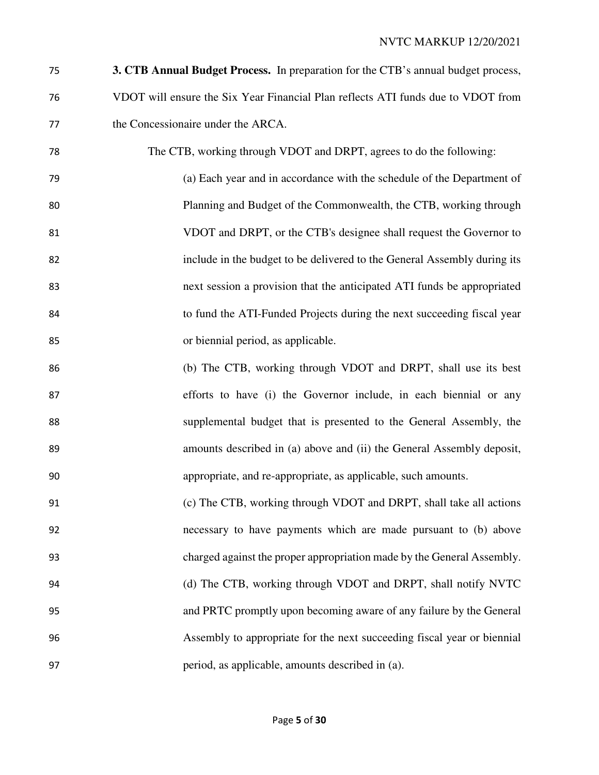- **3. CTB Annual Budget Process.** In preparation for the CTB's annual budget process, VDOT will ensure the Six Year Financial Plan reflects ATI funds due to VDOT from the Concessionaire under the ARCA.
- The CTB, working through VDOT and DRPT, agrees to do the following: (a) Each year and in accordance with the schedule of the Department of Planning and Budget of the Commonwealth, the CTB, working through VDOT and DRPT, or the CTB's designee shall request the Governor to include in the budget to be delivered to the General Assembly during its next session a provision that the anticipated ATI funds be appropriated to fund the ATI-Funded Projects during the next succeeding fiscal year or biennial period, as applicable.
- (b) The CTB, working through VDOT and DRPT, shall use its best efforts to have (i) the Governor include, in each biennial or any supplemental budget that is presented to the General Assembly, the amounts described in (a) above and (ii) the General Assembly deposit, appropriate, and re-appropriate, as applicable, such amounts.
- (c) The CTB, working through VDOT and DRPT, shall take all actions necessary to have payments which are made pursuant to (b) above charged against the proper appropriation made by the General Assembly. (d) The CTB, working through VDOT and DRPT, shall notify NVTC and PRTC promptly upon becoming aware of any failure by the General Assembly to appropriate for the next succeeding fiscal year or biennial period, as applicable, amounts described in (a).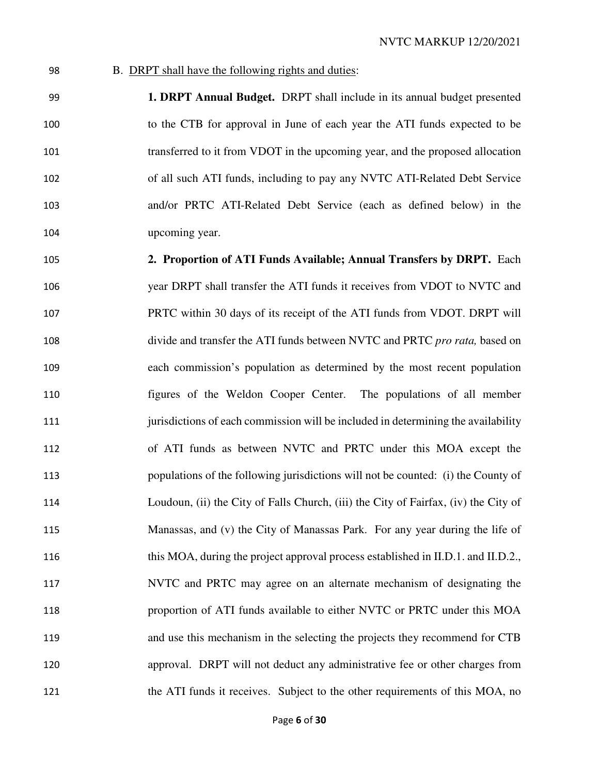#### B. DRPT shall have the following rights and duties:

**1. DRPT Annual Budget.** DRPT shall include in its annual budget presented to the CTB for approval in June of each year the ATI funds expected to be transferred to it from VDOT in the upcoming year, and the proposed allocation of all such ATI funds, including to pay any NVTC ATI-Related Debt Service and/or PRTC ATI-Related Debt Service (each as defined below) in the upcoming year.

**2. Proportion of ATI Funds Available; Annual Transfers by DRPT.** Each year DRPT shall transfer the ATI funds it receives from VDOT to NVTC and PRTC within 30 days of its receipt of the ATI funds from VDOT. DRPT will divide and transfer the ATI funds between NVTC and PRTC *pro rata,* based on each commission's population as determined by the most recent population figures of the Weldon Cooper Center. The populations of all member **iurisdictions of each commission will be included in determining the availability** of ATI funds as between NVTC and PRTC under this MOA except the populations of the following jurisdictions will not be counted: (i) the County of Loudoun, (ii) the City of Falls Church, (iii) the City of Fairfax, (iv) the City of Manassas, and (v) the City of Manassas Park. For any year during the life of this MOA, during the project approval process established in II.D.1. and II.D.2., NVTC and PRTC may agree on an alternate mechanism of designating the proportion of ATI funds available to either NVTC or PRTC under this MOA and use this mechanism in the selecting the projects they recommend for CTB approval. DRPT will not deduct any administrative fee or other charges from 121 the ATI funds it receives. Subject to the other requirements of this MOA, no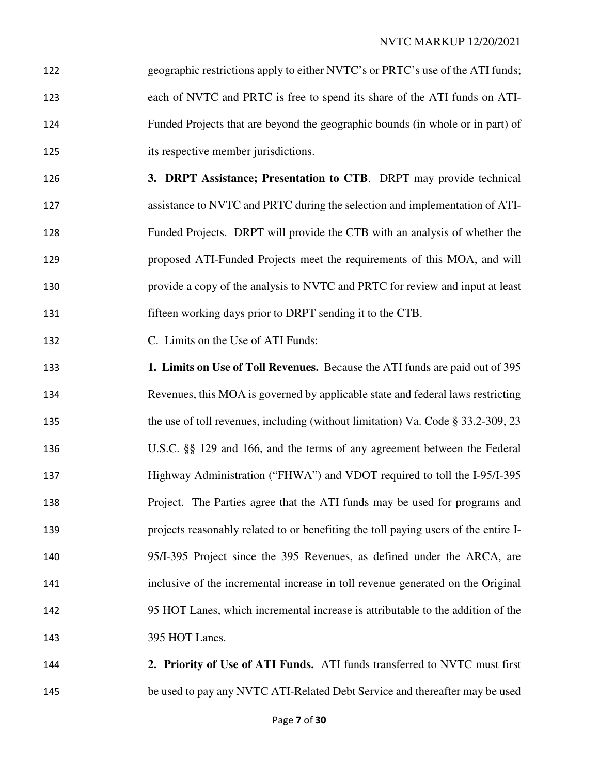geographic restrictions apply to either NVTC's or PRTC's use of the ATI funds; each of NVTC and PRTC is free to spend its share of the ATI funds on ATI-Funded Projects that are beyond the geographic bounds (in whole or in part) of its respective member jurisdictions.

**3. DRPT Assistance; Presentation to CTB**. DRPT may provide technical assistance to NVTC and PRTC during the selection and implementation of ATI-Funded Projects. DRPT will provide the CTB with an analysis of whether the proposed ATI-Funded Projects meet the requirements of this MOA, and will provide a copy of the analysis to NVTC and PRTC for review and input at least fifteen working days prior to DRPT sending it to the CTB.

C. Limits on the Use of ATI Funds:

**1. Limits on Use of Toll Revenues.** Because the ATI funds are paid out of 395 Revenues, this MOA is governed by applicable state and federal laws restricting 135 the use of toll revenues, including (without limitation) Va. Code § 33.2-309, 23 U.S.C. §§ 129 and 166, and the terms of any agreement between the Federal Highway Administration ("FHWA") and VDOT required to toll the I-95/I-395 Project. The Parties agree that the ATI funds may be used for programs and projects reasonably related to or benefiting the toll paying users of the entire I-95/I-395 Project since the 395 Revenues, as defined under the ARCA, are inclusive of the incremental increase in toll revenue generated on the Original 95 HOT Lanes, which incremental increase is attributable to the addition of the 395 HOT Lanes.

**2. Priority of Use of ATI Funds.** ATI funds transferred to NVTC must first be used to pay any NVTC ATI-Related Debt Service and thereafter may be used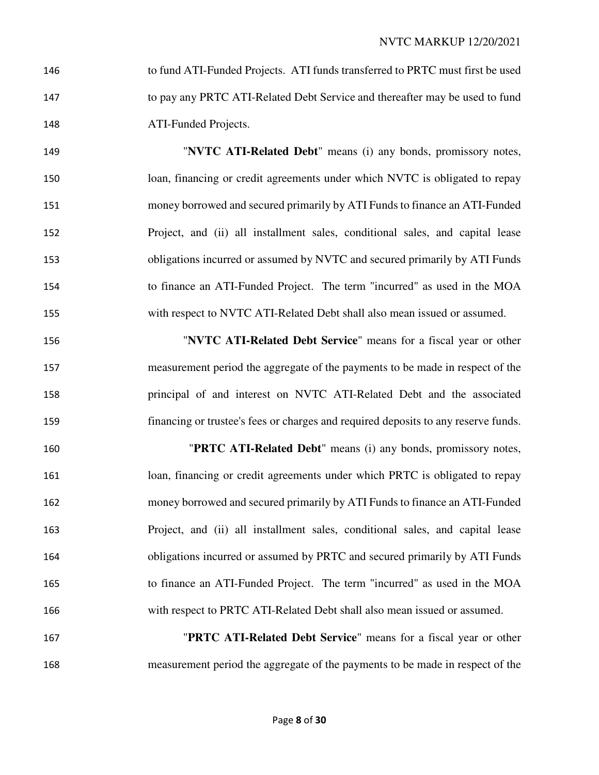| 146 | to fund ATI-Funded Projects. ATI funds transferred to PRTC must first be used |
|-----|-------------------------------------------------------------------------------|
| 147 | to pay any PRTC ATI-Related Debt Service and thereafter may be used to fund   |
| 148 | ATI-Funded Projects.                                                          |

"**NVTC ATI-Related Debt**" means (i) any bonds, promissory notes, loan, financing or credit agreements under which NVTC is obligated to repay money borrowed and secured primarily by ATI Funds to finance an ATI-Funded Project, and (ii) all installment sales, conditional sales, and capital lease obligations incurred or assumed by NVTC and secured primarily by ATI Funds to finance an ATI-Funded Project. The term "incurred" as used in the MOA with respect to NVTC ATI-Related Debt shall also mean issued or assumed.

"**NVTC ATI-Related Debt Service**" means for a fiscal year or other measurement period the aggregate of the payments to be made in respect of the principal of and interest on NVTC ATI-Related Debt and the associated financing or trustee's fees or charges and required deposits to any reserve funds.

"**PRTC ATI-Related Debt**" means (i) any bonds, promissory notes, loan, financing or credit agreements under which PRTC is obligated to repay money borrowed and secured primarily by ATI Funds to finance an ATI-Funded Project, and (ii) all installment sales, conditional sales, and capital lease obligations incurred or assumed by PRTC and secured primarily by ATI Funds to finance an ATI-Funded Project. The term "incurred" as used in the MOA with respect to PRTC ATI-Related Debt shall also mean issued or assumed.

"**PRTC ATI-Related Debt Service**" means for a fiscal year or other measurement period the aggregate of the payments to be made in respect of the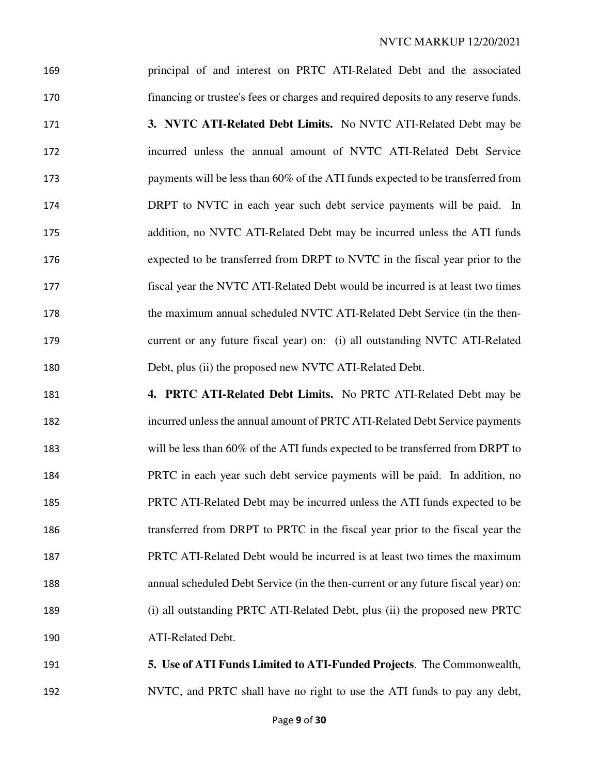principal of and interest on PRTC ATI-Related Debt and the associated financing or trustee's fees or charges and required deposits to any reserve funds. **3. NVTC ATI-Related Debt Limits.** No NVTC ATI-Related Debt may be incurred unless the annual amount of NVTC ATI-Related Debt Service payments will be less than 60% of the ATI funds expected to be transferred from DRPT to NVTC in each year such debt service payments will be paid. In addition, no NVTC ATI-Related Debt may be incurred unless the ATI funds expected to be transferred from DRPT to NVTC in the fiscal year prior to the fiscal year the NVTC ATI-Related Debt would be incurred is at least two times the maximum annual scheduled NVTC ATI-Related Debt Service (in the then-current or any future fiscal year) on: (i) all outstanding NVTC ATI-Related Debt, plus (ii) the proposed new NVTC ATI-Related Debt.

**4. PRTC ATI-Related Debt Limits.** No PRTC ATI-Related Debt may be incurred unless the annual amount of PRTC ATI-Related Debt Service payments will be less than 60% of the ATI funds expected to be transferred from DRPT to PRTC in each year such debt service payments will be paid. In addition, no PRTC ATI-Related Debt may be incurred unless the ATI funds expected to be transferred from DRPT to PRTC in the fiscal year prior to the fiscal year the PRTC ATI-Related Debt would be incurred is at least two times the maximum annual scheduled Debt Service (in the then-current or any future fiscal year) on: (i) all outstanding PRTC ATI-Related Debt, plus (ii) the proposed new PRTC ATI-Related Debt.

**5. Use of ATI Funds Limited to ATI-Funded Projects**. The Commonwealth, NVTC, and PRTC shall have no right to use the ATI funds to pay any debt,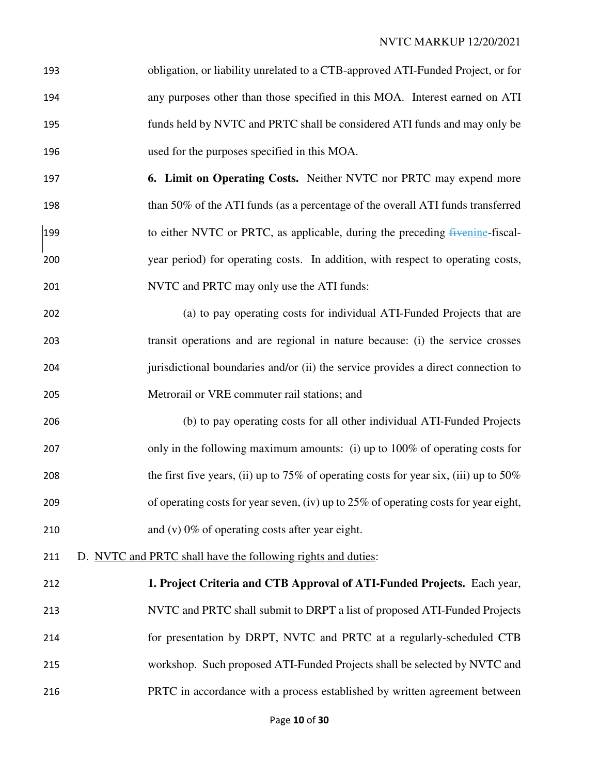| 193 | obligation, or liability unrelated to a CTB-approved ATI-Funded Project, or for |
|-----|---------------------------------------------------------------------------------|
| 194 | any purposes other than those specified in this MOA. Interest earned on ATI     |
| 195 | funds held by NVTC and PRTC shall be considered ATI funds and may only be       |
| 196 | used for the purposes specified in this MOA.                                    |

- **6. Limit on Operating Costs.** Neither NVTC nor PRTC may expend more than 50% of the ATI funds (as a percentage of the overall ATI funds transferred 199 to either NVTC or PRTC, as applicable, during the preceding fivenine-fiscal-year period) for operating costs. In addition, with respect to operating costs, NVTC and PRTC may only use the ATI funds:
- (a) to pay operating costs for individual ATI-Funded Projects that are transit operations and are regional in nature because: (i) the service crosses jurisdictional boundaries and/or (ii) the service provides a direct connection to Metrorail or VRE commuter rail stations; and
- (b) to pay operating costs for all other individual ATI-Funded Projects only in the following maximum amounts: (i) up to 100% of operating costs for 208 the first five years, (ii) up to 75% of operating costs for year six, (iii) up to 50% of operating costs for year seven, (iv) up to 25% of operating costs for year eight, 210 and (v) 0% of operating costs after year eight.
- D. NVTC and PRTC shall have the following rights and duties:
- **1. Project Criteria and CTB Approval of ATI-Funded Projects.** Each year, NVTC and PRTC shall submit to DRPT a list of proposed ATI-Funded Projects for presentation by DRPT, NVTC and PRTC at a regularly-scheduled CTB workshop. Such proposed ATI-Funded Projects shall be selected by NVTC and PRTC in accordance with a process established by written agreement between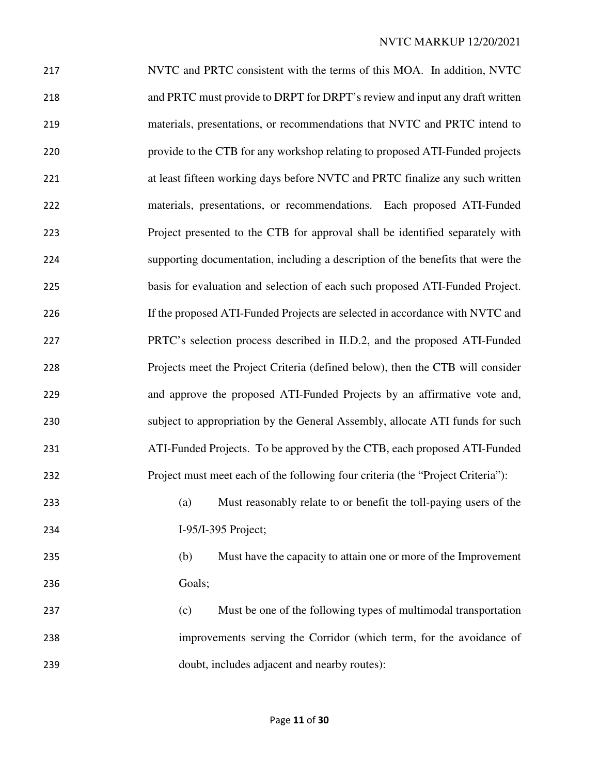| 217 | NVTC and PRTC consistent with the terms of this MOA. In addition, NVTC          |  |  |  |  |
|-----|---------------------------------------------------------------------------------|--|--|--|--|
| 218 | and PRTC must provide to DRPT for DRPT's review and input any draft written     |  |  |  |  |
| 219 | materials, presentations, or recommendations that NVTC and PRTC intend to       |  |  |  |  |
| 220 | provide to the CTB for any workshop relating to proposed ATI-Funded projects    |  |  |  |  |
| 221 | at least fifteen working days before NVTC and PRTC finalize any such written    |  |  |  |  |
| 222 | materials, presentations, or recommendations. Each proposed ATI-Funded          |  |  |  |  |
| 223 | Project presented to the CTB for approval shall be identified separately with   |  |  |  |  |
| 224 | supporting documentation, including a description of the benefits that were the |  |  |  |  |
| 225 | basis for evaluation and selection of each such proposed ATI-Funded Project.    |  |  |  |  |
| 226 | If the proposed ATI-Funded Projects are selected in accordance with NVTC and    |  |  |  |  |
| 227 | PRTC's selection process described in II.D.2, and the proposed ATI-Funded       |  |  |  |  |
| 228 | Projects meet the Project Criteria (defined below), then the CTB will consider  |  |  |  |  |
| 229 | and approve the proposed ATI-Funded Projects by an affirmative vote and,        |  |  |  |  |
| 230 | subject to appropriation by the General Assembly, allocate ATI funds for such   |  |  |  |  |
| 231 | ATI-Funded Projects. To be approved by the CTB, each proposed ATI-Funded        |  |  |  |  |
| 232 | Project must meet each of the following four criteria (the "Project Criteria"): |  |  |  |  |
| 233 | Must reasonably relate to or benefit the toll-paying users of the<br>(a)        |  |  |  |  |
| 234 | I-95/I-395 Project;                                                             |  |  |  |  |
| 235 | (b)<br>Must have the capacity to attain one or more of the Improvement          |  |  |  |  |
| 236 | Goals;                                                                          |  |  |  |  |
| 237 | Must be one of the following types of multimodal transportation<br>(c)          |  |  |  |  |
| 238 | improvements serving the Corridor (which term, for the avoidance of             |  |  |  |  |
| 239 | doubt, includes adjacent and nearby routes):                                    |  |  |  |  |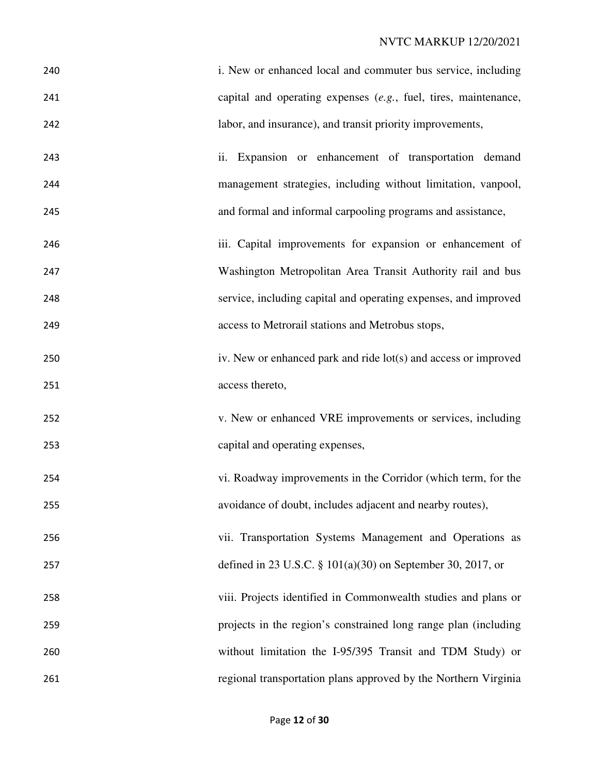| 240 | i. New or enhanced local and commuter bus service, including      |  |  |  |
|-----|-------------------------------------------------------------------|--|--|--|
| 241 | capital and operating expenses $(e.g.,$ fuel, tires, maintenance, |  |  |  |
| 242 | labor, and insurance), and transit priority improvements,         |  |  |  |
| 243 | Expansion or enhancement of transportation demand<br>ii.          |  |  |  |
| 244 | management strategies, including without limitation, vanpool,     |  |  |  |
| 245 | and formal and informal carpooling programs and assistance,       |  |  |  |
| 246 | iii. Capital improvements for expansion or enhancement of         |  |  |  |
| 247 | Washington Metropolitan Area Transit Authority rail and bus       |  |  |  |
| 248 | service, including capital and operating expenses, and improved   |  |  |  |
| 249 | access to Metrorail stations and Metrobus stops,                  |  |  |  |
| 250 | iv. New or enhanced park and ride lot(s) and access or improved   |  |  |  |
| 251 | access thereto,                                                   |  |  |  |
| 252 | v. New or enhanced VRE improvements or services, including        |  |  |  |
| 253 | capital and operating expenses,                                   |  |  |  |
| 254 | vi. Roadway improvements in the Corridor (which term, for the     |  |  |  |
| 255 | avoidance of doubt, includes adjacent and nearby routes),         |  |  |  |
| 256 | vii. Transportation Systems Management and Operations as          |  |  |  |
| 257 | defined in 23 U.S.C. § $101(a)(30)$ on September 30, 2017, or     |  |  |  |
| 258 | viii. Projects identified in Commonwealth studies and plans or    |  |  |  |
| 259 | projects in the region's constrained long range plan (including   |  |  |  |
| 260 | without limitation the I-95/395 Transit and TDM Study) or         |  |  |  |
| 261 | regional transportation plans approved by the Northern Virginia   |  |  |  |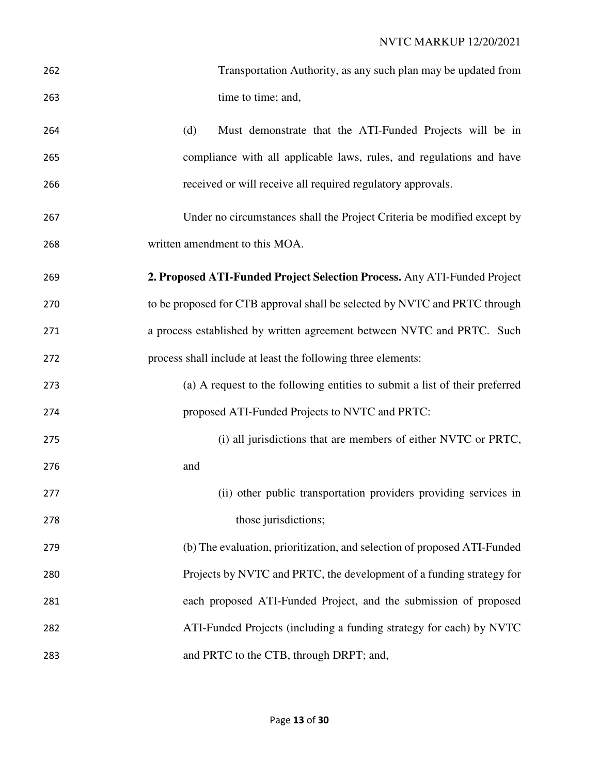| 262 | Transportation Authority, as any such plan may be updated from              |
|-----|-----------------------------------------------------------------------------|
| 263 | time to time; and,                                                          |
| 264 | (d)<br>Must demonstrate that the ATI-Funded Projects will be in             |
| 265 | compliance with all applicable laws, rules, and regulations and have        |
| 266 | received or will receive all required regulatory approvals.                 |
| 267 | Under no circumstances shall the Project Criteria be modified except by     |
| 268 | written amendment to this MOA.                                              |
| 269 | 2. Proposed ATI-Funded Project Selection Process. Any ATI-Funded Project    |
| 270 | to be proposed for CTB approval shall be selected by NVTC and PRTC through  |
| 271 | a process established by written agreement between NVTC and PRTC. Such      |
| 272 | process shall include at least the following three elements:                |
| 273 | (a) A request to the following entities to submit a list of their preferred |
| 274 | proposed ATI-Funded Projects to NVTC and PRTC:                              |
| 275 | (i) all jurisdictions that are members of either NVTC or PRTC,              |
| 276 | and                                                                         |
| 277 | (ii) other public transportation providers providing services in            |
| 278 | those jurisdictions;                                                        |
| 279 | (b) The evaluation, prioritization, and selection of proposed ATI-Funded    |
| 280 | Projects by NVTC and PRTC, the development of a funding strategy for        |
| 281 | each proposed ATI-Funded Project, and the submission of proposed            |
| 282 | ATI-Funded Projects (including a funding strategy for each) by NVTC         |
| 283 | and PRTC to the CTB, through DRPT; and,                                     |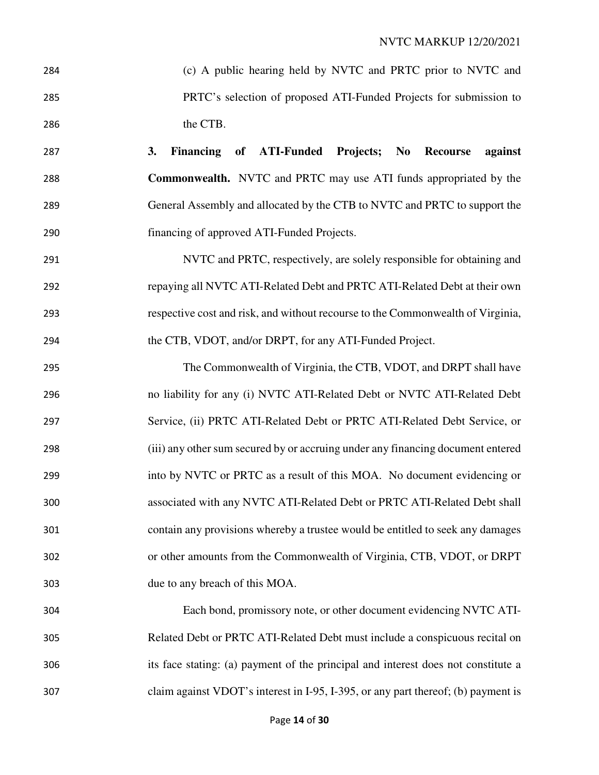| 284 | (c) A public hearing held by NVTC and PRTC prior to NVTC and                      |  |  |  |  |
|-----|-----------------------------------------------------------------------------------|--|--|--|--|
| 285 | PRTC's selection of proposed ATI-Funded Projects for submission to                |  |  |  |  |
| 286 | the CTB.                                                                          |  |  |  |  |
| 287 | Financing of ATI-Funded Projects; No Recourse<br>against<br>3.                    |  |  |  |  |
| 288 | <b>Commonwealth.</b> NVTC and PRTC may use ATI funds appropriated by the          |  |  |  |  |
| 289 | General Assembly and allocated by the CTB to NVTC and PRTC to support the         |  |  |  |  |
| 290 | financing of approved ATI-Funded Projects.                                        |  |  |  |  |
| 291 | NVTC and PRTC, respectively, are solely responsible for obtaining and             |  |  |  |  |
| 292 | repaying all NVTC ATI-Related Debt and PRTC ATI-Related Debt at their own         |  |  |  |  |
| 293 | respective cost and risk, and without recourse to the Commonwealth of Virginia,   |  |  |  |  |
| 294 | the CTB, VDOT, and/or DRPT, for any ATI-Funded Project.                           |  |  |  |  |
| 295 | The Commonwealth of Virginia, the CTB, VDOT, and DRPT shall have                  |  |  |  |  |
| 296 | no liability for any (i) NVTC ATI-Related Debt or NVTC ATI-Related Debt           |  |  |  |  |
| 297 | Service, (ii) PRTC ATI-Related Debt or PRTC ATI-Related Debt Service, or          |  |  |  |  |
| 298 | (iii) any other sum secured by or accruing under any financing document entered   |  |  |  |  |
| 299 | into by NVTC or PRTC as a result of this MOA. No document evidencing or           |  |  |  |  |
| 300 | associated with any NVTC ATI-Related Debt or PRTC ATI-Related Debt shall          |  |  |  |  |
| 301 | contain any provisions whereby a trustee would be entitled to seek any damages    |  |  |  |  |
| 302 | or other amounts from the Commonwealth of Virginia, CTB, VDOT, or DRPT            |  |  |  |  |
| 303 | due to any breach of this MOA.                                                    |  |  |  |  |
| 304 | Each bond, promissory note, or other document evidencing NVTC ATI-                |  |  |  |  |
| 305 | Related Debt or PRTC ATI-Related Debt must include a conspicuous recital on       |  |  |  |  |
| 306 | its face stating: (a) payment of the principal and interest does not constitute a |  |  |  |  |
| 307 | claim against VDOT's interest in I-95, I-395, or any part thereof; (b) payment is |  |  |  |  |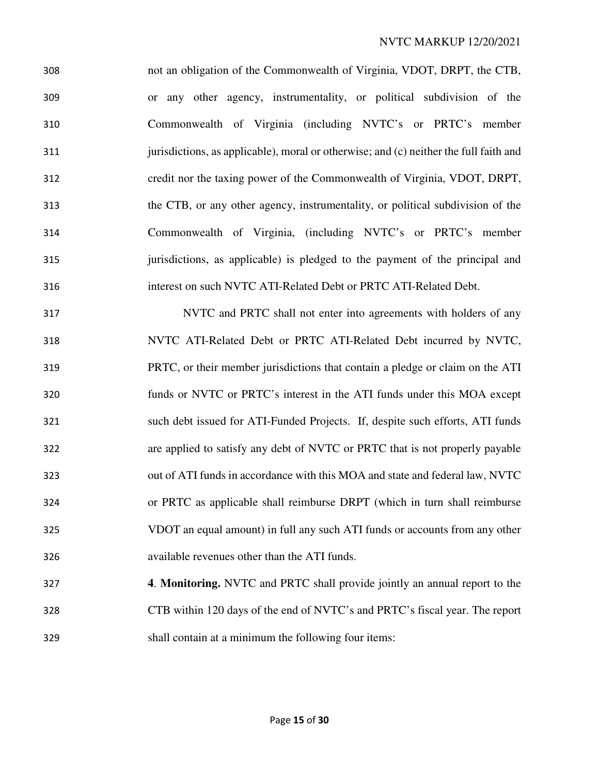not an obligation of the Commonwealth of Virginia, VDOT, DRPT, the CTB, or any other agency, instrumentality, or political subdivision of the Commonwealth of Virginia (including NVTC's or PRTC's member jurisdictions, as applicable), moral or otherwise; and (c) neither the full faith and credit nor the taxing power of the Commonwealth of Virginia, VDOT, DRPT, the CTB, or any other agency, instrumentality, or political subdivision of the Commonwealth of Virginia, (including NVTC's or PRTC's member jurisdictions, as applicable) is pledged to the payment of the principal and interest on such NVTC ATI-Related Debt or PRTC ATI-Related Debt.

NVTC and PRTC shall not enter into agreements with holders of any NVTC ATI-Related Debt or PRTC ATI-Related Debt incurred by NVTC, PRTC, or their member jurisdictions that contain a pledge or claim on the ATI funds or NVTC or PRTC's interest in the ATI funds under this MOA except such debt issued for ATI-Funded Projects. If, despite such efforts, ATI funds are applied to satisfy any debt of NVTC or PRTC that is not properly payable out of ATI funds in accordance with this MOA and state and federal law, NVTC or PRTC as applicable shall reimburse DRPT (which in turn shall reimburse VDOT an equal amount) in full any such ATI funds or accounts from any other available revenues other than the ATI funds.

**4**. **Monitoring.** NVTC and PRTC shall provide jointly an annual report to the CTB within 120 days of the end of NVTC's and PRTC's fiscal year. The report shall contain at a minimum the following four items: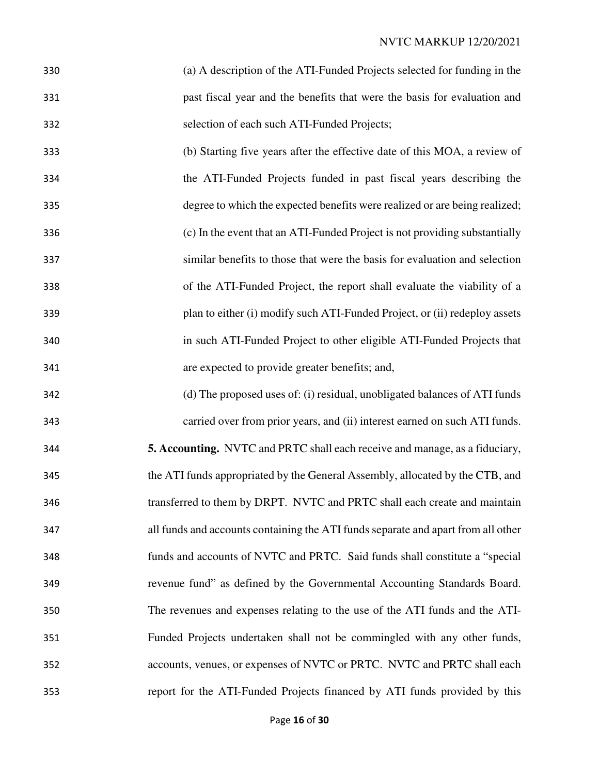- (a) A description of the ATI-Funded Projects selected for funding in the past fiscal year and the benefits that were the basis for evaluation and selection of each such ATI-Funded Projects;
- (b) Starting five years after the effective date of this MOA, a review of the ATI-Funded Projects funded in past fiscal years describing the degree to which the expected benefits were realized or are being realized; (c) In the event that an ATI-Funded Project is not providing substantially similar benefits to those that were the basis for evaluation and selection of the ATI-Funded Project, the report shall evaluate the viability of a plan to either (i) modify such ATI-Funded Project, or (ii) redeploy assets in such ATI-Funded Project to other eligible ATI-Funded Projects that are expected to provide greater benefits; and,
- (d) The proposed uses of: (i) residual, unobligated balances of ATI funds carried over from prior years, and (ii) interest earned on such ATI funds. **5. Accounting.** NVTC and PRTC shall each receive and manage, as a fiduciary, the ATI funds appropriated by the General Assembly, allocated by the CTB, and transferred to them by DRPT. NVTC and PRTC shall each create and maintain all funds and accounts containing the ATI funds separate and apart from all other funds and accounts of NVTC and PRTC. Said funds shall constitute a "special revenue fund" as defined by the Governmental Accounting Standards Board. The revenues and expenses relating to the use of the ATI funds and the ATI-Funded Projects undertaken shall not be commingled with any other funds, accounts, venues, or expenses of NVTC or PRTC. NVTC and PRTC shall each report for the ATI-Funded Projects financed by ATI funds provided by this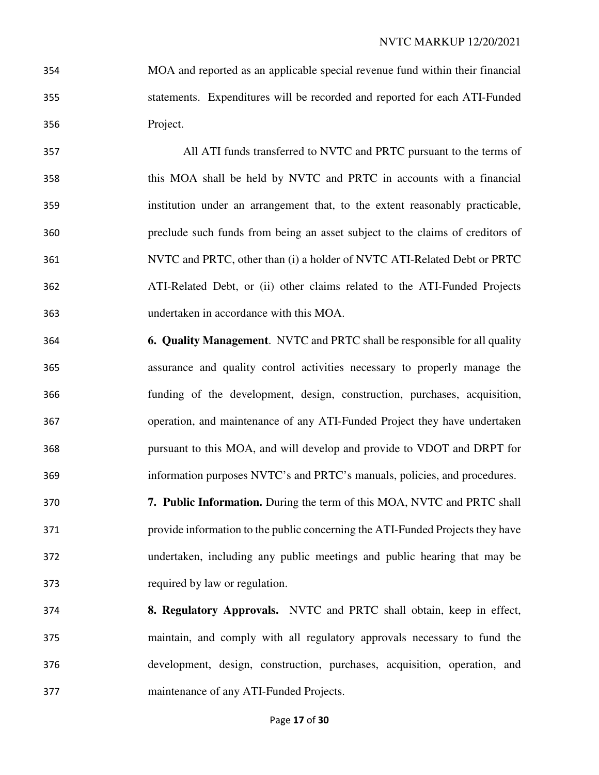- MOA and reported as an applicable special revenue fund within their financial statements. Expenditures will be recorded and reported for each ATI-Funded Project.
- All ATI funds transferred to NVTC and PRTC pursuant to the terms of this MOA shall be held by NVTC and PRTC in accounts with a financial institution under an arrangement that, to the extent reasonably practicable, preclude such funds from being an asset subject to the claims of creditors of NVTC and PRTC, other than (i) a holder of NVTC ATI-Related Debt or PRTC ATI-Related Debt, or (ii) other claims related to the ATI-Funded Projects undertaken in accordance with this MOA.
- **6. Quality Management**. NVTC and PRTC shall be responsible for all quality assurance and quality control activities necessary to properly manage the funding of the development, design, construction, purchases, acquisition, operation, and maintenance of any ATI-Funded Project they have undertaken pursuant to this MOA, and will develop and provide to VDOT and DRPT for information purposes NVTC's and PRTC's manuals, policies, and procedures.
- **7. Public Information.** During the term of this MOA, NVTC and PRTC shall provide information to the public concerning the ATI-Funded Projects they have undertaken, including any public meetings and public hearing that may be required by law or regulation.
- **8. Regulatory Approvals.** NVTC and PRTC shall obtain, keep in effect, maintain, and comply with all regulatory approvals necessary to fund the development, design, construction, purchases, acquisition, operation, and maintenance of any ATI-Funded Projects.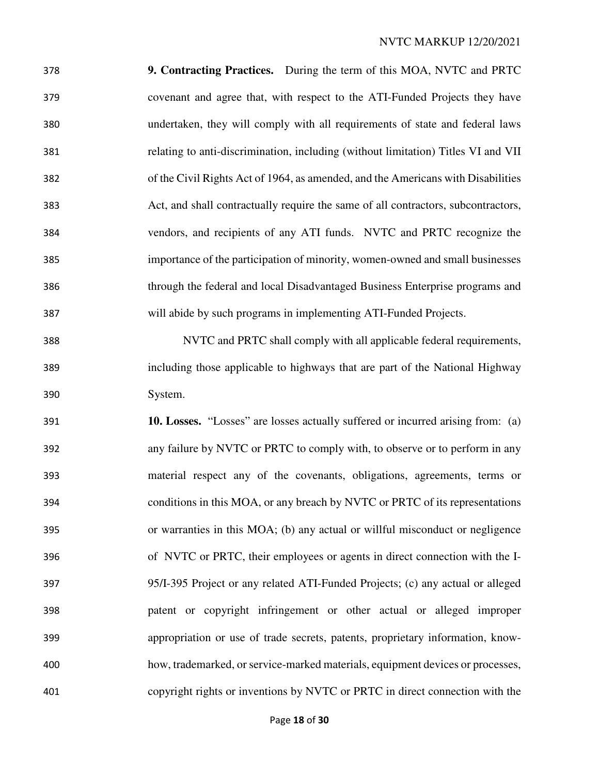**9. Contracting Practices.** During the term of this MOA, NVTC and PRTC covenant and agree that, with respect to the ATI-Funded Projects they have undertaken, they will comply with all requirements of state and federal laws relating to anti-discrimination, including (without limitation) Titles VI and VII of the Civil Rights Act of 1964, as amended, and the Americans with Disabilities Act, and shall contractually require the same of all contractors, subcontractors, vendors, and recipients of any ATI funds. NVTC and PRTC recognize the importance of the participation of minority, women-owned and small businesses through the federal and local Disadvantaged Business Enterprise programs and will abide by such programs in implementing ATI-Funded Projects.

NVTC and PRTC shall comply with all applicable federal requirements, including those applicable to highways that are part of the National Highway System.

**10. Losses.** "Losses" are losses actually suffered or incurred arising from: (a) any failure by NVTC or PRTC to comply with, to observe or to perform in any material respect any of the covenants, obligations, agreements, terms or conditions in this MOA, or any breach by NVTC or PRTC of its representations or warranties in this MOA; (b) any actual or willful misconduct or negligence of NVTC or PRTC, their employees or agents in direct connection with the I-95/I-395 Project or any related ATI-Funded Projects; (c) any actual or alleged patent or copyright infringement or other actual or alleged improper appropriation or use of trade secrets, patents, proprietary information, know-how, trademarked, or service-marked materials, equipment devices or processes, copyright rights or inventions by NVTC or PRTC in direct connection with the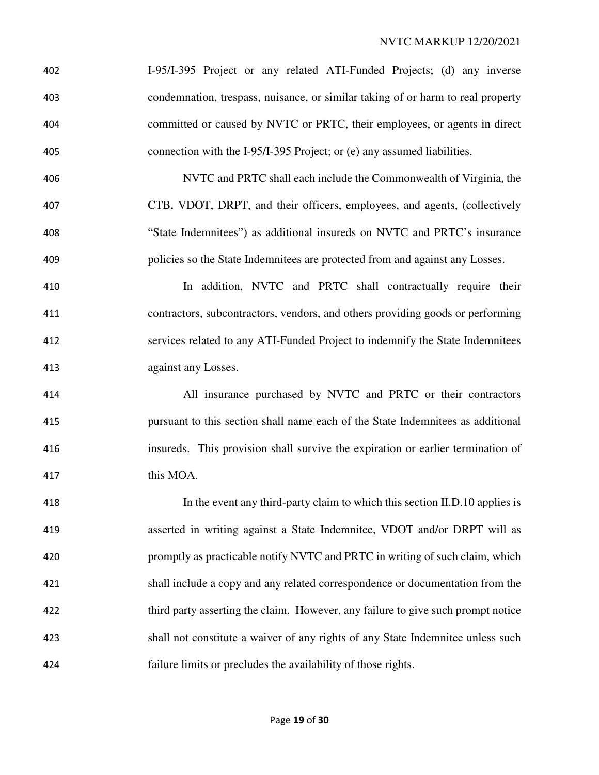| 402 | I-95/I-395 Project or any related ATI-Funded Projects; (d) any inverse           |
|-----|----------------------------------------------------------------------------------|
| 403 | condemnation, trespass, nuisance, or similar taking of or harm to real property  |
| 404 | committed or caused by NVTC or PRTC, their employees, or agents in direct        |
| 405 | connection with the I-95/I-395 Project; or (e) any assumed liabilities.          |
| 406 | NVTC and PRTC shall each include the Commonwealth of Virginia, the               |
| 407 | CTB, VDOT, DRPT, and their officers, employees, and agents, (collectively        |
| 408 | "State Indemnitees") as additional insureds on NVTC and PRTC's insurance         |
| 409 | policies so the State Indemnitees are protected from and against any Losses.     |
| 410 | In addition, NVTC and PRTC shall contractually require their                     |
| 411 | contractors, subcontractors, vendors, and others providing goods or performing   |
| 412 | services related to any ATI-Funded Project to indemnify the State Indemnitees    |
| 413 | against any Losses.                                                              |
| 414 | All insurance purchased by NVTC and PRTC or their contractors                    |
| 415 | pursuant to this section shall name each of the State Indemnitees as additional  |
| 416 | insureds. This provision shall survive the expiration or earlier termination of  |
| 417 | this MOA.                                                                        |
| 418 | In the event any third-party claim to which this section II.D.10 applies is      |
| 419 | asserted in writing against a State Indemnitee, VDOT and/or DRPT will as         |
| 420 | promptly as practicable notify NVTC and PRTC in writing of such claim, which     |
| 421 | shall include a copy and any related correspondence or documentation from the    |
| 422 | third party asserting the claim. However, any failure to give such prompt notice |
| 423 | shall not constitute a waiver of any rights of any State Indemnitee unless such  |
| 424 | failure limits or precludes the availability of those rights.                    |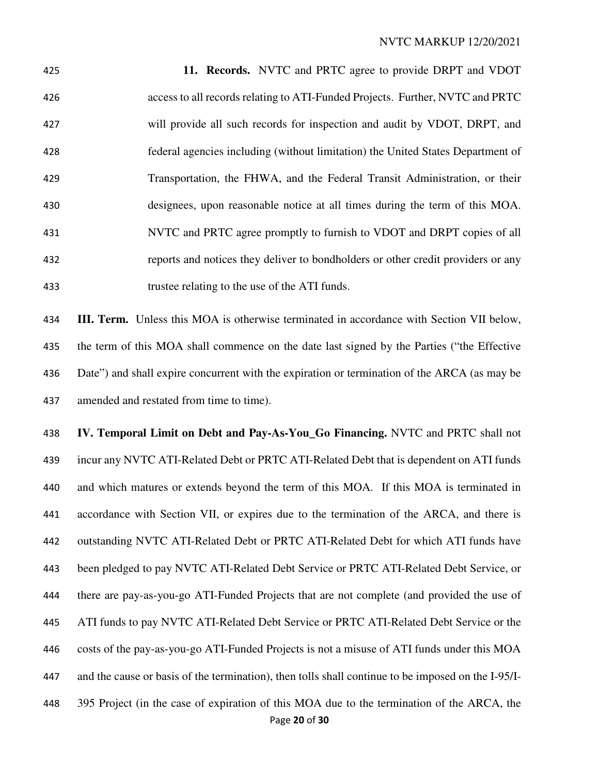**11. Records.** NVTC and PRTC agree to provide DRPT and VDOT access to all records relating to ATI-Funded Projects. Further, NVTC and PRTC will provide all such records for inspection and audit by VDOT, DRPT, and federal agencies including (without limitation) the United States Department of Transportation, the FHWA, and the Federal Transit Administration, or their designees, upon reasonable notice at all times during the term of this MOA. NVTC and PRTC agree promptly to furnish to VDOT and DRPT copies of all reports and notices they deliver to bondholders or other credit providers or any trustee relating to the use of the ATI funds.

**III. Term.** Unless this MOA is otherwise terminated in accordance with Section VII below, the term of this MOA shall commence on the date last signed by the Parties ("the Effective Date") and shall expire concurrent with the expiration or termination of the ARCA (as may be amended and restated from time to time).

**IV. Temporal Limit on Debt and Pay-As-You\_Go Financing.** NVTC and PRTC shall not incur any NVTC ATI-Related Debt or PRTC ATI-Related Debt that is dependent on ATI funds and which matures or extends beyond the term of this MOA. If this MOA is terminated in accordance with Section VII, or expires due to the termination of the ARCA, and there is outstanding NVTC ATI-Related Debt or PRTC ATI-Related Debt for which ATI funds have been pledged to pay NVTC ATI-Related Debt Service or PRTC ATI-Related Debt Service, or there are pay-as-you-go ATI-Funded Projects that are not complete (and provided the use of ATI funds to pay NVTC ATI-Related Debt Service or PRTC ATI-Related Debt Service or the costs of the pay-as-you-go ATI-Funded Projects is not a misuse of ATI funds under this MOA and the cause or basis of the termination), then tolls shall continue to be imposed on the I-95/I-395 Project (in the case of expiration of this MOA due to the termination of the ARCA, the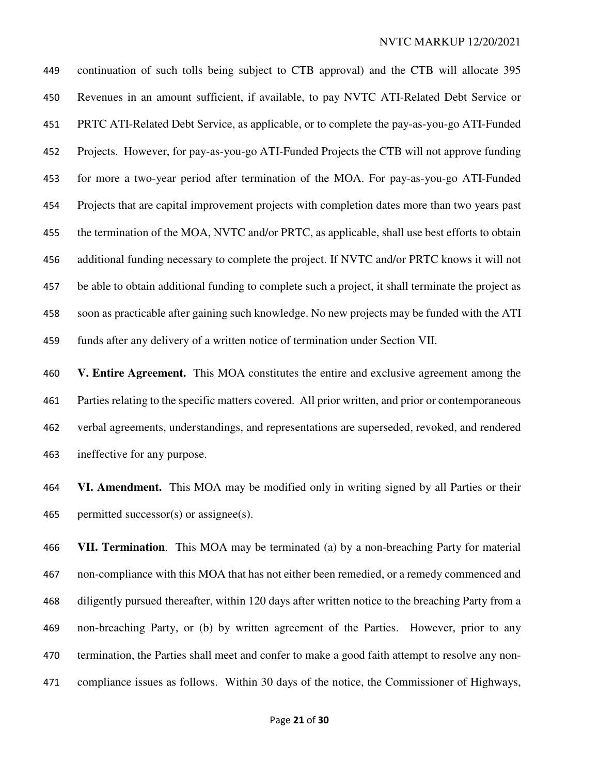continuation of such tolls being subject to CTB approval) and the CTB will allocate 395 Revenues in an amount sufficient, if available, to pay NVTC ATI-Related Debt Service or PRTC ATI-Related Debt Service, as applicable, or to complete the pay-as-you-go ATI-Funded Projects. However, for pay-as-you-go ATI-Funded Projects the CTB will not approve funding for more a two-year period after termination of the MOA. For pay-as-you-go ATI-Funded Projects that are capital improvement projects with completion dates more than two years past the termination of the MOA, NVTC and/or PRTC, as applicable, shall use best efforts to obtain additional funding necessary to complete the project. If NVTC and/or PRTC knows it will not be able to obtain additional funding to complete such a project, it shall terminate the project as soon as practicable after gaining such knowledge. No new projects may be funded with the ATI funds after any delivery of a written notice of termination under Section VII.

**V. Entire Agreement.** This MOA constitutes the entire and exclusive agreement among the Parties relating to the specific matters covered. All prior written, and prior or contemporaneous verbal agreements, understandings, and representations are superseded, revoked, and rendered ineffective for any purpose.

**VI. Amendment.** This MOA may be modified only in writing signed by all Parties or their 465 permitted successor(s) or assignee(s).

**VII. Termination**. This MOA may be terminated (a) by a non-breaching Party for material non-compliance with this MOA that has not either been remedied, or a remedy commenced and diligently pursued thereafter, within 120 days after written notice to the breaching Party from a non-breaching Party, or (b) by written agreement of the Parties. However, prior to any 470 termination, the Parties shall meet and confer to make a good faith attempt to resolve any non-compliance issues as follows. Within 30 days of the notice, the Commissioner of Highways,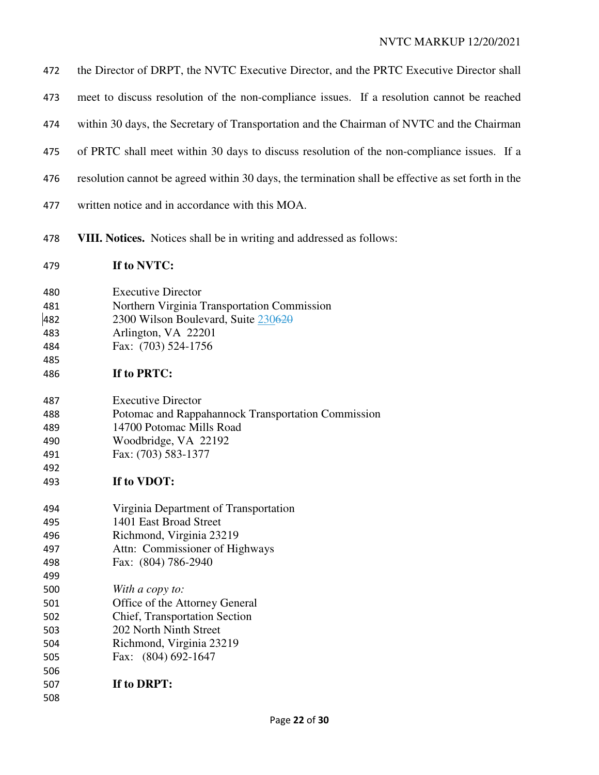| 472                                           | the Director of DRPT, the NVTC Executive Director, and the PRTC Executive Director shall                                                                                  |
|-----------------------------------------------|---------------------------------------------------------------------------------------------------------------------------------------------------------------------------|
| 473                                           | meet to discuss resolution of the non-compliance issues. If a resolution cannot be reached                                                                                |
| 474                                           | within 30 days, the Secretary of Transportation and the Chairman of NVTC and the Chairman                                                                                 |
| 475                                           | of PRTC shall meet within 30 days to discuss resolution of the non-compliance issues. If a                                                                                |
| 476                                           | resolution cannot be agreed within 30 days, the termination shall be effective as set forth in the                                                                        |
| 477                                           | written notice and in accordance with this MOA.                                                                                                                           |
| 478                                           | VIII. Notices. Notices shall be in writing and addressed as follows:                                                                                                      |
| 479                                           | If to NVTC:                                                                                                                                                               |
| 480<br>481<br>482<br>483<br>484<br>485        | <b>Executive Director</b><br>Northern Virginia Transportation Commission<br>2300 Wilson Boulevard, Suite 230620<br>Arlington, VA 22201<br>Fax: (703) 524-1756             |
| 486                                           | If to PRTC:                                                                                                                                                               |
| 487<br>488<br>489<br>490<br>491<br>492<br>493 | <b>Executive Director</b><br>Potomac and Rappahannock Transportation Commission<br>14700 Potomac Mills Road<br>Woodbridge, VA 22192<br>Fax: (703) 583-1377<br>If to VDOT: |
| 494<br>495<br>496<br>497<br>498<br>499        | Virginia Department of Transportation<br>1401 East Broad Street<br>Richmond, Virginia 23219<br>Attn: Commissioner of Highways<br>Fax: (804) 786-2940                      |
| 500<br>501<br>502<br>503<br>504<br>505<br>506 | With a copy to:<br>Office of the Attorney General<br><b>Chief, Transportation Section</b><br>202 North Ninth Street<br>Richmond, Virginia 23219<br>Fax: (804) 692-1647    |
| 507<br>508                                    | If to DRPT:                                                                                                                                                               |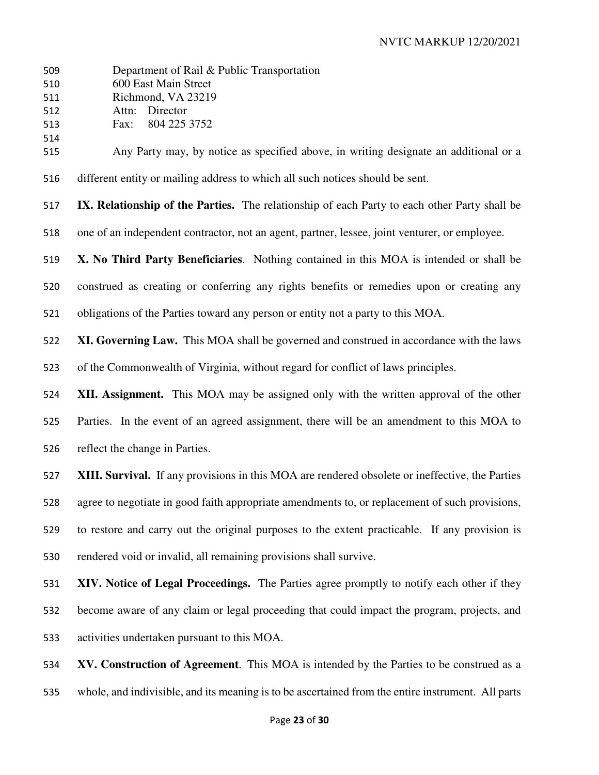| 509<br>510<br>511<br>512 | Department of Rail & Public Transportation<br>600 East Main Street<br>Richmond, VA 23219<br>Director<br>Attn: |
|--------------------------|---------------------------------------------------------------------------------------------------------------|
| 513                      | 804 225 3752<br>Fax:                                                                                          |
| 514<br>515               | Any Party may, by notice as specified above, in writing designate an additional or a                          |
| 516                      | different entity or mailing address to which all such notices should be sent.                                 |
| 517                      | IX. Relationship of the Parties. The relationship of each Party to each other Party shall be                  |
| 518                      | one of an independent contractor, not an agent, partner, lessee, joint venturer, or employee.                 |
| 519                      | X. No Third Party Beneficiaries. Nothing contained in this MOA is intended or shall be                        |
| 520                      | construed as creating or conferring any rights benefits or remedies upon or creating any                      |
| 521                      | obligations of the Parties toward any person or entity not a party to this MOA.                               |
| 522                      | XI. Governing Law. This MOA shall be governed and construed in accordance with the laws                       |
| 523                      | of the Commonwealth of Virginia, without regard for conflict of laws principles.                              |
| 524                      | XII. Assignment. This MOA may be assigned only with the written approval of the other                         |
| 525                      | Parties. In the event of an agreed assignment, there will be an amendment to this MOA to                      |
| 526                      | reflect the change in Parties.                                                                                |
| 527                      | XIII. Survival. If any provisions in this MOA are rendered obsolete or ineffective, the Parties               |
| 528                      | agree to negotiate in good faith appropriate amendments to, or replacement of such provisions,                |
| 529                      | to restore and carry out the original purposes to the extent practicable. If any provision is                 |
| 530                      | rendered void or invalid, all remaining provisions shall survive.                                             |
| 531                      | XIV. Notice of Legal Proceedings. The Parties agree promptly to notify each other if they                     |
| 532                      | become aware of any claim or legal proceeding that could impact the program, projects, and                    |
| 533                      | activities undertaken pursuant to this MOA.                                                                   |
| 534                      | XV. Construction of Agreement. This MOA is intended by the Parties to be construed as a                       |

whole, and indivisible, and its meaning is to be ascertained from the entire instrument. All parts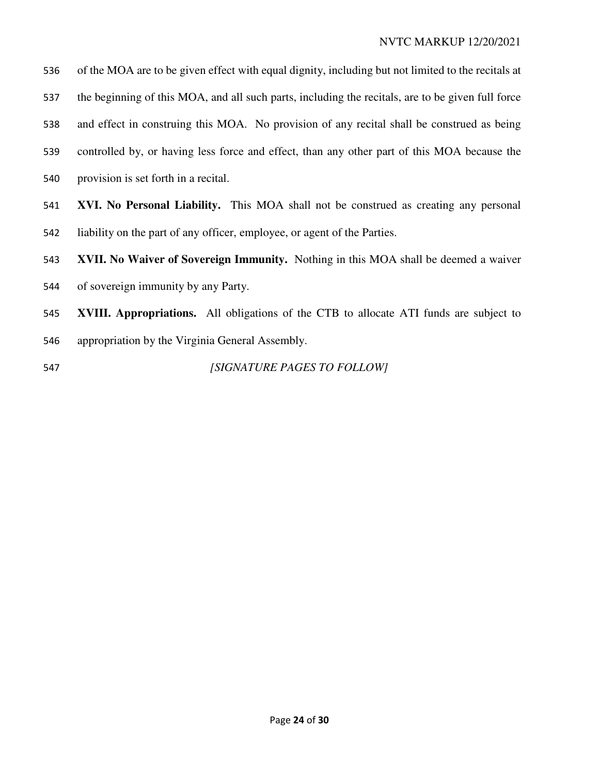| 536 | of the MOA are to be given effect with equal dignity, including but not limited to the recitals at |
|-----|----------------------------------------------------------------------------------------------------|
| 537 | the beginning of this MOA, and all such parts, including the recitals, are to be given full force  |
| 538 | and effect in construing this MOA. No provision of any recital shall be construed as being         |
| 539 | controlled by, or having less force and effect, than any other part of this MOA because the        |
| 540 | provision is set forth in a recital.                                                               |
| 541 | XVI. No Personal Liability. This MOA shall not be construed as creating any personal               |
| 542 | liability on the part of any officer, employee, or agent of the Parties.                           |
| 543 | <b>XVII. No Waiver of Sovereign Immunity.</b> Nothing in this MOA shall be deemed a waiver         |
| 544 | of sovereign immunity by any Party.                                                                |
| 545 | <b>XVIII. Appropriations.</b> All obligations of the CTB to allocate ATI funds are subject to      |
| 546 | appropriation by the Virginia General Assembly.                                                    |

*[SIGNATURE PAGES TO FOLLOW]*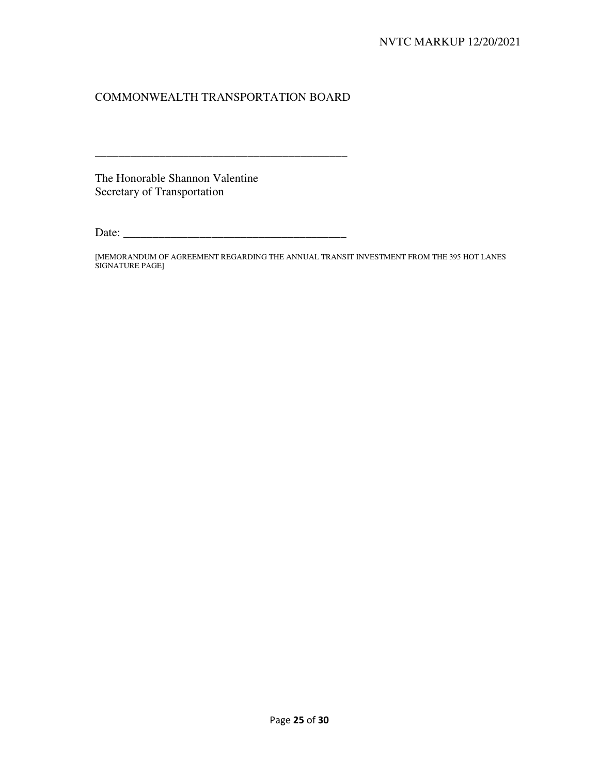### COMMONWEALTH TRANSPORTATION BOARD

\_\_\_\_\_\_\_\_\_\_\_\_\_\_\_\_\_\_\_\_\_\_\_\_\_\_\_\_\_\_\_\_\_\_\_\_\_\_\_\_\_\_\_

The Honorable Shannon Valentine Secretary of Transportation

Date: \_\_\_\_\_\_\_\_\_\_\_\_\_\_\_\_\_\_\_\_\_\_\_\_\_\_\_\_\_\_\_\_\_\_\_\_\_\_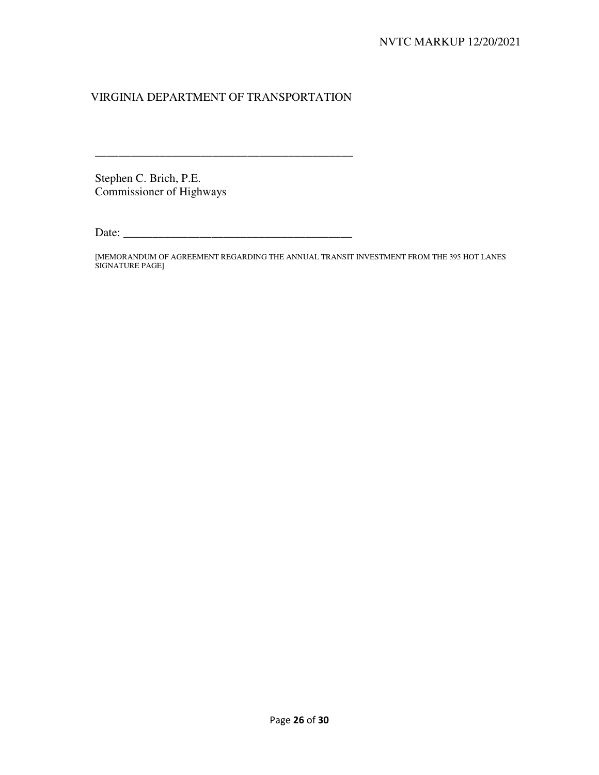## VIRGINIA DEPARTMENT OF TRANSPORTATION

\_\_\_\_\_\_\_\_\_\_\_\_\_\_\_\_\_\_\_\_\_\_\_\_\_\_\_\_\_\_\_\_\_\_\_\_\_\_\_\_\_\_\_\_

Stephen C. Brich, P.E. Commissioner of Highways

Date: \_\_\_\_\_\_\_\_\_\_\_\_\_\_\_\_\_\_\_\_\_\_\_\_\_\_\_\_\_\_\_\_\_\_\_\_\_\_\_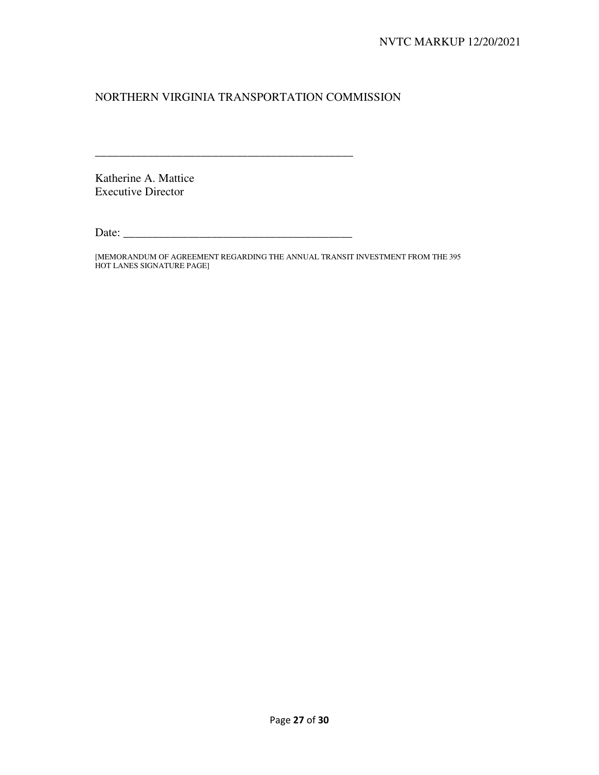## NORTHERN VIRGINIA TRANSPORTATION COMMISSION

Katherine A. Mattice Executive Director

Date: \_\_\_\_\_\_\_\_\_\_\_\_\_\_\_\_\_\_\_\_\_\_\_\_\_\_\_\_\_\_\_\_\_\_\_\_\_\_\_

\_\_\_\_\_\_\_\_\_\_\_\_\_\_\_\_\_\_\_\_\_\_\_\_\_\_\_\_\_\_\_\_\_\_\_\_\_\_\_\_\_\_\_\_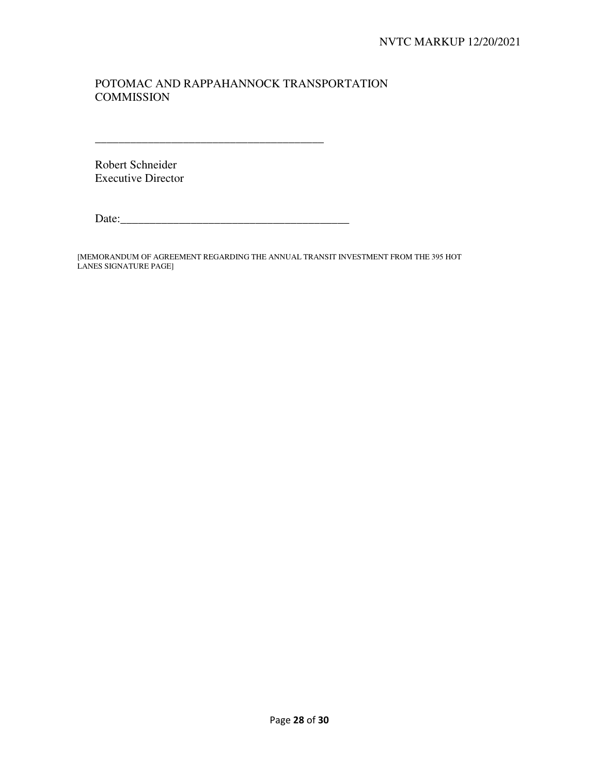## POTOMAC AND RAPPAHANNOCK TRANSPORTATION **COMMISSION**

Robert Schneider Executive Director

Date:\_\_\_\_\_\_\_\_\_\_\_\_\_\_\_\_\_\_\_\_\_\_\_\_\_\_\_\_\_\_\_\_\_\_\_\_\_\_\_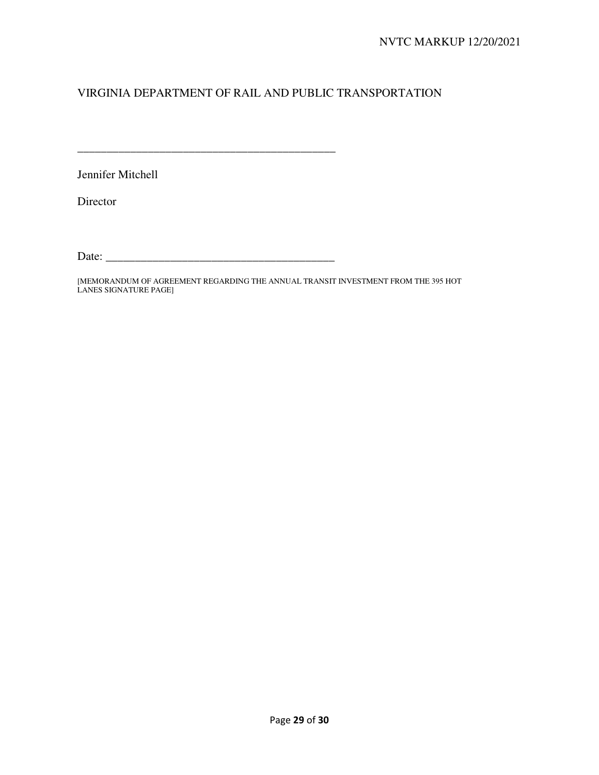# VIRGINIA DEPARTMENT OF RAIL AND PUBLIC TRANSPORTATION

Jennifer Mitchell

Director

Date: \_\_\_\_\_\_\_\_\_\_\_\_\_\_\_\_\_\_\_\_\_\_\_\_\_\_\_\_\_\_\_\_\_\_\_\_\_\_\_

\_\_\_\_\_\_\_\_\_\_\_\_\_\_\_\_\_\_\_\_\_\_\_\_\_\_\_\_\_\_\_\_\_\_\_\_\_\_\_\_\_\_\_\_